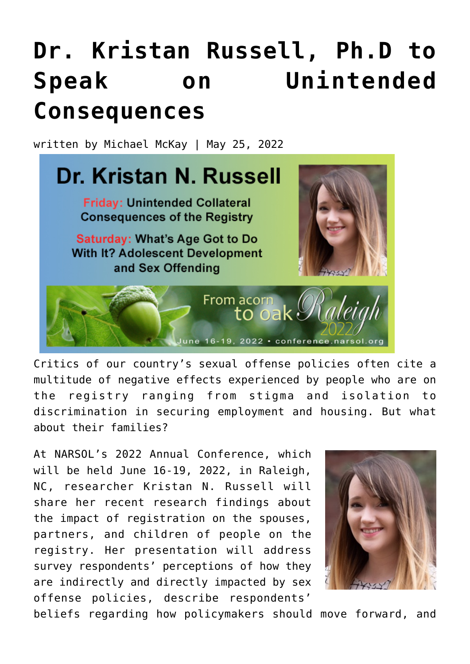## **[Dr. Kristan Russell, Ph.D to](https://narsol.org/2022/05/dr-kristan-russell-ph-d-to-speak-on-unintended-consequences/) [Speak on Unintended](https://narsol.org/2022/05/dr-kristan-russell-ph-d-to-speak-on-unintended-consequences/) [Consequences](https://narsol.org/2022/05/dr-kristan-russell-ph-d-to-speak-on-unintended-consequences/)**

written by Michael McKay | May 25, 2022



Critics of our country's sexual offense policies often cite a multitude of negative effects experienced by people who are on the registry ranging from stigma and isolation to discrimination in securing employment and housing. But what about their families?

At NARSOL's 2022 Annual Conference, which will be held June 16-19, 2022, in Raleigh, NC, researcher Kristan N. Russell will share her recent research findings about the impact of registration on the spouses, partners, and children of people on the registry. Her presentation will address survey respondents' perceptions of how they are indirectly and directly impacted by sex offense policies, describe respondents'



beliefs regarding how policymakers should move forward, and